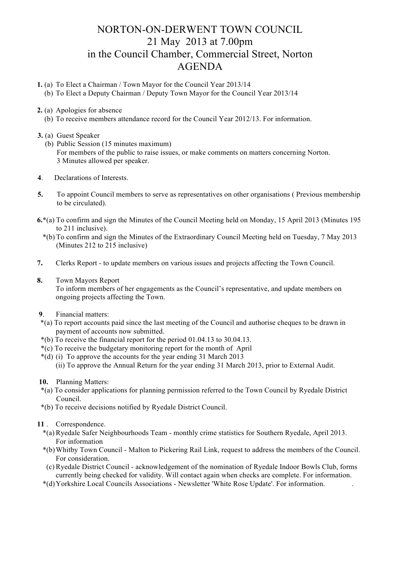## NORTON-ON-DERWENT TOWN COUNCIL 21 May 2013 at 7.00pm in the Council Chamber, Commercial Street, Norton AGENDA

- **1.** (a) To Elect a Chairman / Town Mayor for the Council Year 2013/14
	- (b) To Elect a Deputy Chairman / Deputy Town Mayor for the Council Year 2013/14
- **2.** (a) Apologies for absence
	- (b) To receive members attendance record for the Council Year 2012/13. For information.
- **3.** (a) Guest Speaker
	- (b) Public Session (15 minutes maximum) For members of the public to raise issues, or make comments on matters concerning Norton. 3 Minutes allowed per speaker.
- **4**. Declarations of Interests.
- **5.** To appoint Council members to serve as representatives on other organisations ( Previous membership to be circulated).
- **6.**\*(a) To confirm and sign the Minutes of the Council Meeting held on Monday, 15 April 2013 (Minutes 195 to 211 inclusive).
	- \*(b) To confirm and sign the Minutes of the Extraordinary Council Meeting held on Tuesday, 7 May 2013 (Minutes 212 to 215 inclusive)
- **7.** Clerks Report to update members on various issues and projects affecting the Town Council.
- **8.** Town Mayors Report

 To inform members of her engagements as the Council's representative, and update members on ongoing projects affecting the Town.

- **9**. Financial matters:
- \*(a) To report accounts paid since the last meeting of the Council and authorise cheques to be drawn in payment of accounts now submitted.
- \*(b) To receive the financial report for the period 01.04.13 to 30.04.13.
- \*(c) To receive the budgetary monitoring report for the month of April
- \*(d) (i) To approve the accounts for the year ending 31 March 2013
	- (ii) To approve the Annual Return for the year ending 31 March 2013, prior to External Audit.
- **10.** Planning Matters:
- \*(a) To consider applications for planning permission referred to the Town Council by Ryedale District Council.
- \*(b) To receive decisions notified by Ryedale District Council.
- **11** . Correspondence.
	- \*(a) Ryedale Safer Neighbourhoods Team monthly crime statistics for Southern Ryedale, April 2013. For information
	- \*(b)Whitby Town Council Malton to Pickering Rail Link, request to address the members of the Council. For consideration.
	- (c) Ryedale District Council acknowledgement of the nomination of Ryedale Indoor Bowls Club, forms currently being checked for validity. Will contact again when checks are complete. For information.
	- \*(d)Yorkshire Local Councils Associations Newsletter 'White Rose Update'. For information. .